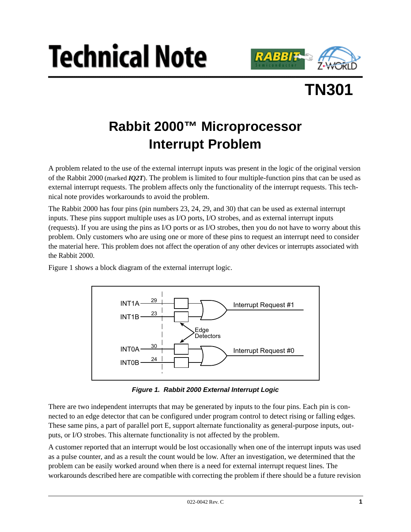





# **Rabbit 2000™ Microprocessor Interrupt Problem**

A problem related to the use of the external interrupt inputs was present in the logic of the original version of the Rabbit 2000 (marked *IQ2T*). The problem is limited to four multiple-function pins that can be used as external interrupt requests. The problem affects only the functionality of the interrupt requests. This technical note provides workarounds to avoid the problem.

The Rabbit 2000 has four pins (pin numbers 23, 24, 29, and 30) that can be used as external interrupt inputs. These pins support multiple uses as I/O ports, I/O strobes, and as external interrupt inputs (requests). If you are using the pins as I/O ports or as I/O strobes, then you do not have to worry about this problem. Only customers who are using one or more of these pins to request an interrupt need to consider the material here. This problem does not affect the operation of any other devices or interrupts associated with the Rabbit 2000.

[Figure 1](#page-0-0) shows a block diagram of the external interrupt logic.



**Figure 1. Rabbit 2000 External Interrupt Logic**

<span id="page-0-0"></span>There are two independent interrupts that may be generated by inputs to the four pins. Each pin is connected to an edge detector that can be configured under program control to detect rising or falling edges. These same pins, a part of parallel port E, support alternate functionality as general-purpose inputs, outputs, or I/O strobes. This alternate functionality is not affected by the problem.

A customer reported that an interrupt would be lost occasionally when one of the interrupt inputs was used as a pulse counter, and as a result the count would be low. After an investigation, we determined that the problem can be easily worked around when there is a need for external interrupt request lines. The workarounds described here are compatible with correcting the problem if there should be a future revision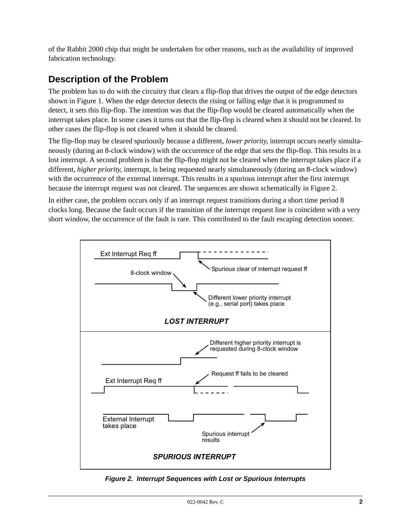of the Rabbit 2000 chip that might be undertaken for other reasons, such as the availability of improved fabrication technology.

## **Description of the Problem**

The problem has to do with the circuitry that clears a flip-flop that drives the output of the edge detectors shown in [Figure 1.](#page-0-0) When the edge detector detects the rising or falling edge that it is programmed to detect, it sets this flip-flop. The intention was that the flip-flop would be cleared automatically when the interrupt takes place. In some cases it turns out that the flip-flop is cleared when it should not be cleared. In other cases the flip-flop is not cleared when it should be cleared.

The flip-flop may be cleared spuriously because a different, *lower priority*, interrupt occurs nearly simultaneously (during an 8-clock window) with the occurrence of the edge that sets the flip-flop. This results in a lost interrupt. A second problem is that the flip-flop might not be cleared when the interrupt takes place if a different, *higher priority*, interrupt, is being requested nearly simultaneously (during an 8-clock window) with the occurrence of the external interrupt. This results in a spurious interrupt after the first interrupt because the interrupt request was not cleared. The sequences are shown schematically in [Figure 2.](#page-1-0)

In either case, the problem occurs only if an interrupt request transitions during a short time period 8 clocks long. Because the fault occurs if the transition of the interrupt request line is coincident with a very short window, the occurrence of the fault is rare. This contributed to the fault escaping detection sooner.



<span id="page-1-0"></span>**Figure 2. Interrupt Sequences with Lost or Spurious Interrupts**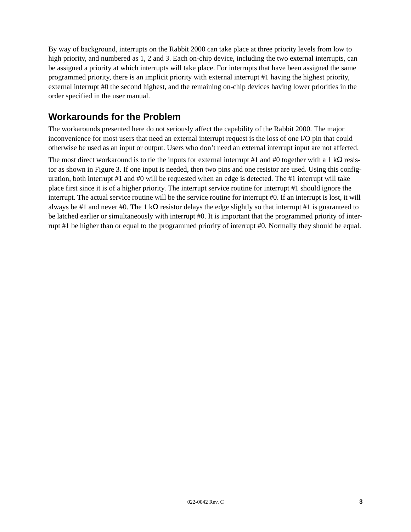By way of background, interrupts on the Rabbit 2000 can take place at three priority levels from low to high priority, and numbered as 1, 2 and 3. Each on-chip device, including the two external interrupts, can be assigned a priority at which interrupts will take place. For interrupts that have been assigned the same programmed priority, there is an implicit priority with external interrupt #1 having the highest priority, external interrupt #0 the second highest, and the remaining on-chip devices having lower priorities in the order specified in the user manual.

# **Workarounds for the Problem**

The workarounds presented here do not seriously affect the capability of the Rabbit 2000. The major inconvenience for most users that need an external interrupt request is the loss of one I/O pin that could otherwise be used as an input or output. Users who don't need an external interrupt input are not affected.

The most direct workaround is to tie the inputs for external interrupt #1 and #0 together with a 1 k $\Omega$  resistor as shown in [Figure 3](#page-3-0). If one input is needed, then two pins and one resistor are used. Using this configuration, both interrupt #1 and #0 will be requested when an edge is detected. The #1 interrupt will take place first since it is of a higher priority. The interrupt service routine for interrupt #1 should ignore the interrupt. The actual service routine will be the service routine for interrupt #0. If an interrupt is lost, it will always be #1 and never #0. The 1 kΩ resistor delays the edge slightly so that interrupt #1 is guaranteed to be latched earlier or simultaneously with interrupt #0. It is important that the programmed priority of interrupt #1 be higher than or equal to the programmed priority of interrupt #0. Normally they should be equal.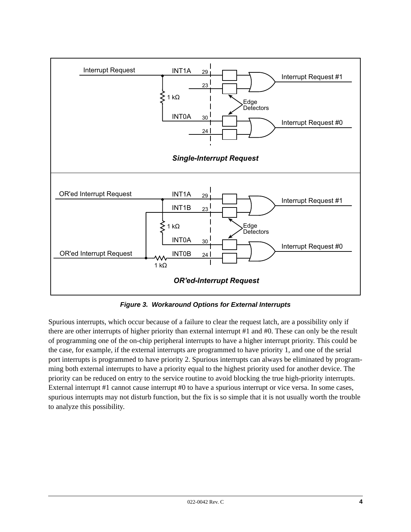

**Figure 3. Workaround Options for External Interrupts**

<span id="page-3-0"></span>Spurious interrupts, which occur because of a failure to clear the request latch, are a possibility only if there are other interrupts of higher priority than external interrupt #1 and #0. These can only be the result of programming one of the on-chip peripheral interrupts to have a higher interrupt priority. This could be the case, for example, if the external interrupts are programmed to have priority 1, and one of the serial port interrupts is programmed to have priority 2. Spurious interrupts can always be eliminated by programming both external interrupts to have a priority equal to the highest priority used for another device. The priority can be reduced on entry to the service routine to avoid blocking the true high-priority interrupts. External interrupt #1 cannot cause interrupt #0 to have a spurious interrupt or vice versa. In some cases, spurious interrupts may not disturb function, but the fix is so simple that it is not usually worth the trouble to analyze this possibility.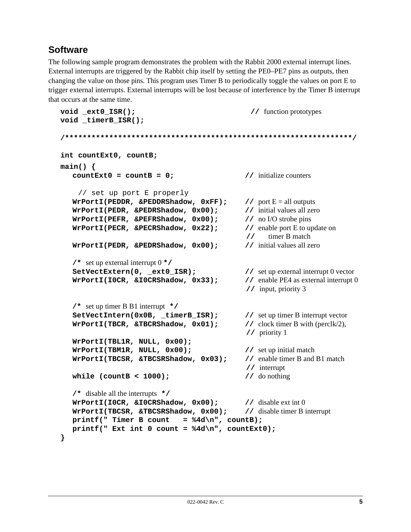# **Software**

The following sample program demonstrates the problem with the Rabbit 2000 external interrupt lines. External interrupts are triggered by the Rabbit chip itself by setting the PE0–PE7 pins as outputs, then changing the value on those pins. This program uses Timer B to periodically toggle the values on port E to trigger external interrupts. External interrupts will be lost because of interference by the Timer B interrupt that occurs at the same time.

```
void ext0 ISR(); // function prototypes
void _timerB_ISR();
/*****************************************************************/
int countExt0, countB;
main() {
  countExt0 = countB = 0; // initialize counters
    // set up port E properly
  WrPortI(PEDDR, &PEDDRShadow, 0xFF); // port E = all outputs
  WrPortI(PEDR, &PEDRShadow, 0x00); // initial values all zero
  WrPortI(PEFR, &PEFRShadow, 0x00); // no I/O strobe pins
  WrPortI(PECR, &PECRShadow, 0x22); // enable port E to update on
                                           // timer B match
  WrPortI(PEDR, &PEDRShadow, 0x00); // initial values all zero
  /* set up external interrupt 0 */
  SetVectExtern(0, _ext0_ISR); // set up external interrupt 0 vector
  WrPortI(I0CR, &I0CRShadow, 0x33); // enable PE4 as external interrupt 0
                                            // input, priority 3
  /* set up timer B B1 interrupt */
  SetVectIntern(0x0B, _timerB_ISR); // set up timer B interrupt vector
  WrPortI(TBCR, &TBCRShadow, 0x01); // clock timer B with (perclk/2),
                                            // priority 1
  WrPortI(TBL1R, NULL, 0x00);
  WrPortI(TBM1R, NULL, 0x00); // set up initial match
  WrPortI(TBCSR, &TBCSRShadow, 0x03); // enable timer B and B1 match
                                           // interrupt
  while (countB < 1000); // do nothing
  /* disable all the interrupts */
  WrPortI(I0CR, &I0CRShadow, 0x00); // disable ext int 0
  WrPortI(TBCSR, &TBCSRShadow, 0x00); // disable timer B interrupt
  print(' " Time r B count = %4d\nu", count};
  printf(" Ext int 0 count = %4d\n", countExt0);
}
```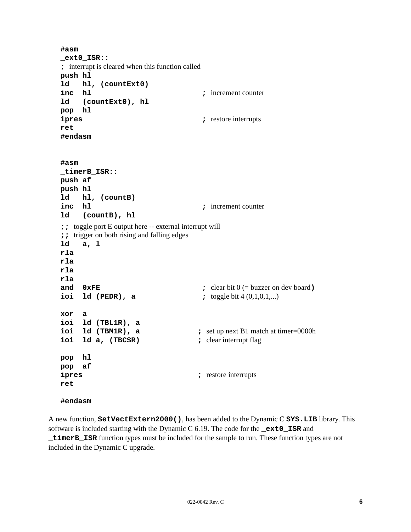```
#asm
_ext0_ISR::
; interrupt is cleared when this function called
push hl
ld hl, (countExt0)
inc hl ; increment counter
ld (countExt0), hl
pop hl
ipres ; restore interrupts
ret
#endasm
#asm
_timerB_ISR::
push af
push hl
ld hl, (countB)
inc hl ; increment counter
ld (countB), hl
;; toggle port E output here -- external interrupt will
;; trigger on both rising and falling edges
ld a, l
rla
rla
rla
rla
and 0xFE ; clear bit 0 (= buzzer on dev board)
ioi 1d (PEDR), a <br><b>; toggle bit 4 (0,1,0,1,...)
xor a
ioi ld (TBL1R), a
ioi 1d (TBM1R), a ; set up next B1 match at timer=0000h
ioi ld a, (TBCSR) ; clear interrupt flag
pop hl
pop af
ipres ; restore interrupts
ret
#endasm
```
A new function, **SetVectExtern2000()**, has been added to the Dynamic C **SYS.LIB** library. This software is included starting with the Dynamic C 6.19. The code for the **\_ext0\_ISR** and **\_timerB\_ISR** function types must be included for the sample to run. These function types are not included in the Dynamic C upgrade.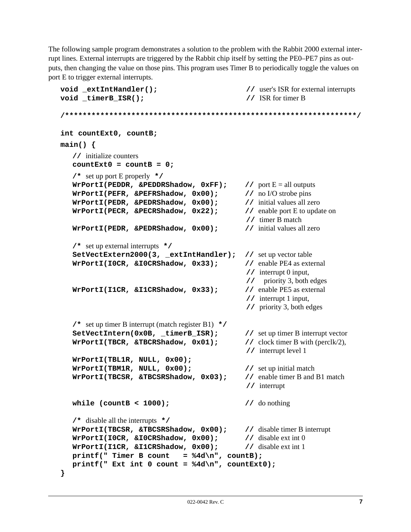The following sample program demonstrates a solution to the problem with the Rabbit 2000 external interrupt lines. External interrupts are triggered by the Rabbit chip itself by setting the PE0–PE7 pins as outputs, then changing the value on those pins. This program uses Timer B to periodically toggle the values on port E to trigger external interrupts.

```
void extIntHandler(); \frac{1}{2} // user's ISR for external interrupts
void timerB ISR(); // ISR for timer B
/******************************************************************/
int countExt0, countB;
main() {
   // initialize counters
   countExt0 = countB = 0;/* set up port E properly */
   WrPortI(PEDDR, &PEDDRShadow, 0xFF); // port E = all outputs
   WrPortI(PEFR, &PEFRShadow, 0x00); // no I/O strobe pins
  WrPortI(PEDR, &PEDRShadow, 0x00); // initial values all zero
   WrPortI(PECR, &PECRShadow, 0x22); // enable port E to update on
                                             // timer B match
  WrPortI(PEDR, &PEDRShadow, 0x00); // initial values all zero
   /* set up external interrupts */
   SetVectExtern2000(3, _extIntHandler); // set up vector table
   WrPortI(IOCR, &IOCRShadow, 0x33); // enable PE4 as external
                                             // interrupt 0 input,
                                             // priority 3, both edges
  WrPortI(I1CR, &I1CRShadow, 0x33); // enable PE5 as external
                                             // interrupt 1 input,
                                             // priority 3, both edges
   /* set up timer B interrupt (match register B1) */
   SetVectIntern(0x0B, _timerB_ISR); // set up timer B interrupt vector
   WrPortI(TBCR, &TBCRShadow, 0x01); // clock timer B with (perclk/2),
                                             // interrupt level 1
   WrPortI(TBL1R, NULL, 0x00);
   WrPortI(TBM1R, NULL, 0x00); // set up initial match
   WrPortI(TBCSR, &TBCSRShadow, 0x03); // enable timer B and B1 match
                                             // interrupt
  while (countB < 1000); // do nothing
   /* disable all the interrupts */
  WrPortI(TBCSR, &TBCSRShadow, 0x00); // disable timer B interrupt
  WrPortI(I0CR, &I0CRShadow, 0x00); // disable ext int 0
  WrPortI(I1CR, &I1CRShadow, 0x00); // disable ext int 1
   printf("Timer B count = %4d\nu", count};
  printf(" Ext int 0 count = %4d\n", countExt0);
}
```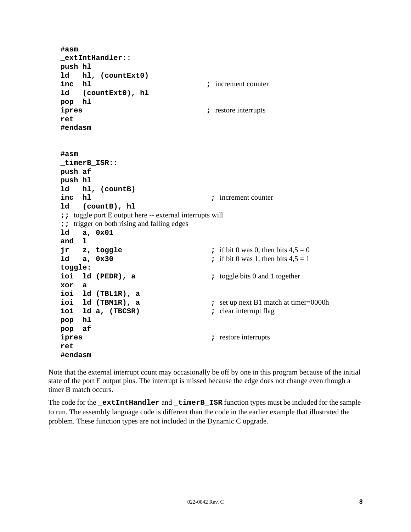```
#asm
_extIntHandler::
push hl
ld hl, (countExt0)
inc h1 increment counter
ld (countExt0), hl
pop hl
ipres ; restore interrupts
ret
#endasm
#asm
_timerB_ISR::
push af
push hl
ld hl, (countB)
inc hl ; increment counter
ld (countB), hl
;; toggle port E output here -- external interrupts will
;; trigger on both rising and falling edges
ld a, 0x01
and l
\mathbf{z}, toggle \mathbf{z}, toggle \mathbf{z}, if bit 0 was 0, then bits 4.5 = 0ld a, 0 \times 30 ; if bit 0 was 1, then bits 4.5 = 1toggle:
ioi ld (PEDR), a i toggle bits 0 and 1 together
xor a
ioi ld (TBL1R), a
ioi 1d (TBM1R), a ; set up next B1 match at timer=0000h
ioi ld a, (TBCSR) ; clear interrupt flag
pop hl
pop af
ipres ; restore interrupts
ret
#endasm
```
Note that the external interrupt count may occasionally be off by one in this program because of the initial state of the port E output pins. The interrupt is missed because the edge does not change even though a timer B match occurs.

The code for the **\_extIntHandler** and **\_timerB\_ISR** function types must be included for the sample to run. The assembly language code is different than the code in the earlier example that illustrated the problem. These function types are not included in the Dynamic C upgrade.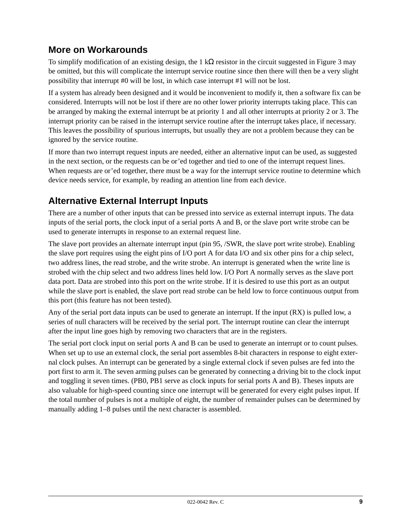## **More on Workarounds**

To simplify modification of an existing design, the 1 kΩ resistor in the circuit suggested in [Figure 3](#page-3-0) may be omitted, but this will complicate the interrupt service routine since then there will then be a very slight possibility that interrupt #0 will be lost, in which case interrupt #1 will not be lost.

If a system has already been designed and it would be inconvenient to modify it, then a software fix can be considered. Interrupts will not be lost if there are no other lower priority interrupts taking place. This can be arranged by making the external interrupt be at priority 1 and all other interrupts at priority 2 or 3. The interrupt priority can be raised in the interrupt service routine after the interrupt takes place, if necessary. This leaves the possibility of spurious interrupts, but usually they are not a problem because they can be ignored by the service routine.

If more than two interrupt request inputs are needed, either an alternative input can be used, as suggested in the next section, or the requests can be or'ed together and tied to one of the interrupt request lines. When requests are or'ed together, there must be a way for the interrupt service routine to determine which device needs service, for example, by reading an attention line from each device.

#### **Alternative External Interrupt Inputs**

There are a number of other inputs that can be pressed into service as external interrupt inputs. The data inputs of the serial ports, the clock input of a serial ports A and B, or the slave port write strobe can be used to generate interrupts in response to an external request line.

The slave port provides an alternate interrupt input (pin 95, /SWR, the slave port write strobe). Enabling the slave port requires using the eight pins of I/O port A for data I/O and six other pins for a chip select, two address lines, the read strobe, and the write strobe. An interrupt is generated when the write line is strobed with the chip select and two address lines held low. I/O Port A normally serves as the slave port data port. Data are strobed into this port on the write strobe. If it is desired to use this port as an output while the slave port is enabled, the slave port read strobe can be held low to force continuous output from this port (this feature has not been tested).

Any of the serial port data inputs can be used to generate an interrupt. If the input (RX) is pulled low, a series of null characters will be received by the serial port. The interrupt routine can clear the interrupt after the input line goes high by removing two characters that are in the registers.

The serial port clock input on serial ports A and B can be used to generate an interrupt or to count pulses. When set up to use an external clock, the serial port assembles 8-bit characters in response to eight external clock pulses. An interrupt can be generated by a single external clock if seven pulses are fed into the port first to arm it. The seven arming pulses can be generated by connecting a driving bit to the clock input and toggling it seven times. (PB0, PB1 serve as clock inputs for serial ports A and B). Theses inputs are also valuable for high-speed counting since one interrupt will be generated for every eight pulses input. If the total number of pulses is not a multiple of eight, the number of remainder pulses can be determined by manually adding 1–8 pulses until the next character is assembled.